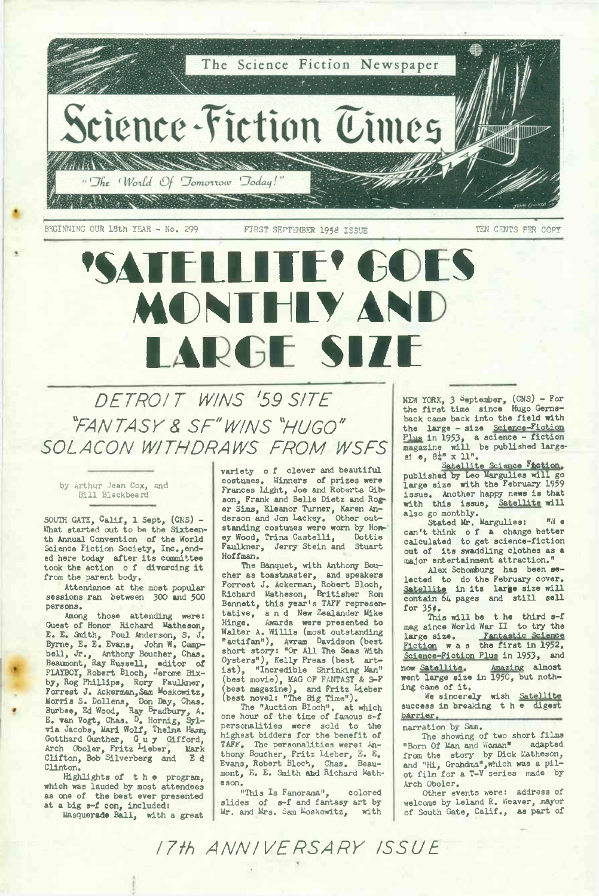

**BEGINNING OUR 18th YEAR - No. <sup>299</sup> FIRST SEPT34BER <sup>1958</sup> ISSUE TEN CENTS PER COPY**

# **'SATELLITE' KIN MCNEELY AN I ILARGE SIZE**

*DETROIT WINS '59 SITE "FANTASY & SF"W/NS "HUGO" SOLACON WITHDRAWS FROM WSFS*

by Arthur Jean Cox, and Bill Blackbeard

**SOUTH GATE, Calif, 1 Sept, (CNS) - What started out to be the Sixteenth Annual Convention of the World Science Fiction Society, Inc.,ended here today after its committee took the action <sup>o</sup> f divorcing it from the parent body.**

**Attendance at the most popular sessions ran between 300 and 500 persons.**

**Among those attending were: Guest of Honor Richard Matheson,** E. E. Smith, Poul Anderson, S. J.<br>Byrne, E. E. Evans, John W. Camp-<br>bell, Jr., Athony Boucher, Chas.<br>Beaumont, Ray Russell, editor of<br>PLAYBOT, Robert Bloch, Jerome Rix-<br>by, Rog Phillips, Roy Faulkner,<br>Forrest J. Ackerman, Morris S. Dollens, Don Day, Chas.<br>Burbee, Ed Wood, Ray Bradbury, A.<br>E. van Vogt, Chas. D. Hornig, Syl-<br>via Jacobs, Mari Wolf, Thelma Hamm, **Gotthard Gunther, Guy Gifford, Arch Oboler, Fritz ^ieber, Mark Clifton, Bob Silverberg and E d Clinton.**

**Highlights of the program, which was lauded by most attendees as one of the best ever presented at a big s-f con, included: Masquerade Ball, with a great**

**variety <sup>o</sup> f clever and beautiful costumes. Winners of prizes were Frances Light, Joe and Roberta Gib-son, Frank and Belle Dietz and Roger Sims, Eleanor Turner, Karen An-derson and Jon Lackey. Other outstanding costumes were worn by Honey Wood, Trina Castelli, Dottie Faulkner, Jerry Stein and Stuart Hoffman.**

**The Banquet, with Anthony Boucher as toastmaster, and speakers Forrest J. Ackerman, Robert Bloch, Richard Matheson, Britisher Ron Bennett, this year's TAFF representative, and New Zealander Mike Hinge. Awards were presented to Walter A. Willis (most outstanding "actifan"), Avram Davidson (best short story: "Or All The Seas 'With Oysters"), Kelly Freas (best artist), "Incredible Shrinking Man" (best movie), MAG OF FANTASY & S-F (best magazine), and Fritz Lieber (best novel: "The Big Time").**

**The "Auction Bloch", at which one hour of the time of famous s-f personalities were sold to the highest bidders for the benefit of TAFF. The personalities were: An**thony Boucher, Fritz Lieber, E. E.<br>Evans, Robert Bloch, Chas. Beau-<br>mont, E. E. Smith and Richard Math**eson.**

**"This Is Panorama", colored slides of s-f and fantasy ait by Mr. and Mrs. Sara Moskowitz, with** **NEW YORK, <sup>3</sup> September, (CNS) - For the first time since Hugo Gernsback came back into the field with** the large - size Science-Fiction<br>Plus in 1953, a science - fiction<br>magazine will be published large-<br>si e, 8#" x 11".

**Satellite Science Faction, published by Leo Margulies will go large size with the February 1959 issue. Another happy news is that with this issue, Satellite will also go monthly. Stated Mr. Margulies: "W e**

**can't think <sup>o</sup> f a change better calculated to get science-fiction out of its swaddling clothes as <sup>a</sup> major entertainment attraction."**

**Alex Schomburg has been selected to do the February cover. Satellite in its large size will contain <sup>64</sup> pages and still sell for 35\*.**

**This will be t he third s-f mag since World War II to try the large size. Fantastic Science Fiction was the first in 1952, Science-Fiction Plus in 1953, and now Satellite. Amazing almost went large size in 1950, but nothing came of it.**

**We sincerely wish Satellite success in breaking the digest barrier,**

**narration by Sam.**

**The showing of two short films "Born Of Man and Woman" adapted** from the story by Dick Latheson,<br>and "Hi, Grandma", which was a pil-<br>ot film for a T-V series made by **Arch Oboler.**

**Other events were: address of welcome by Leland R. Weaver, mayor of South Gate, Calif., as part of**

*17th ANNIVERSARY ISSUE*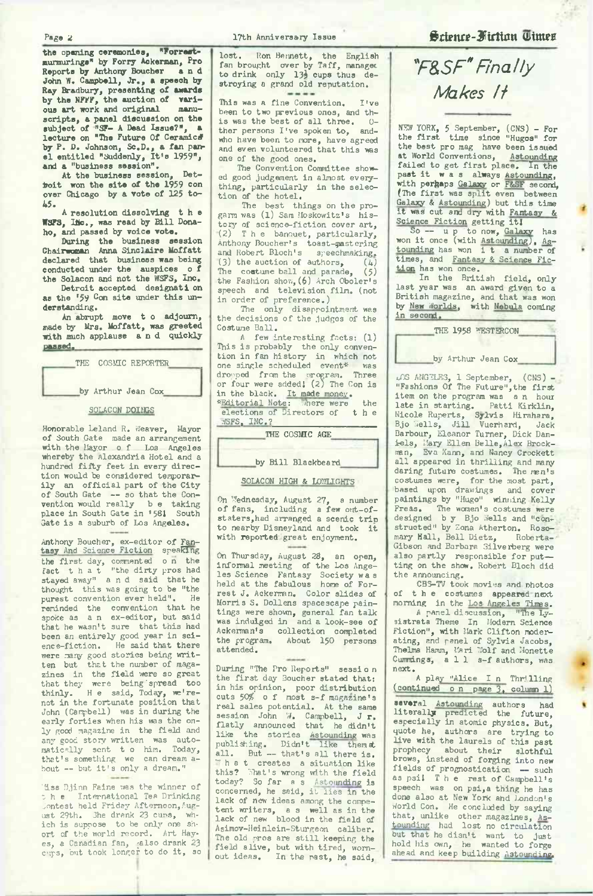**the opening ceremonies, "Forraetmurmurings" by Forry Ackerman, Pro Reports by Anthony Boucher and John W. Campbell, Jr., a speech by** Ray Bradbury, presenting of awards<br>by the NFFF, the auction of vari-<br>ous art work and original manu**scripts, a panel discussion on the subject of "SF- A Dead Issue?", a lecture on "The Future Of Ceramic# by P. D. Johnson, Sc.D., a fan pan-el entitled "Suddenly, It's 1959", and a "business session".**

At the business session, Det-<br>boit won the site of the 1959 con<br>over Chicago by a vote of 125 to-**45.**

**<sup>A</sup> resolution dissolving the WSF3, Ilie., was read by Bill Donaho, and passed by voice vote.**

**During the business session Chairwoman Anna Sincl ai re Moffatt declared that business was being conducted under the auspices <sup>o</sup> f the Solacon and not the WSFS, Inc.**

**Detroit accepted designati on as the '59 con site under this understanding.**

**An abrupt move t <sup>o</sup> adjourn, made by Mrs. Moffatt, was greeted with much applause and quickly passed,**

THE COSMIC REPORTER.

by Arthur Jean Cox

### SOLACON DOINGS

Honorable Leland R. Weaver, Mayor of South Gate made an arrangement with the Mayor <sup>o</sup> f Los Angeles whereby the Alexandria Hotel and a hundred fifty feet in every direction would be considered temporarily an official part of the City of South Gate — so that the Convention would really b e taking place in South Gate in \*581 South Gate is <sup>a</sup> suburb of Los Angeles.

Anthony Boucher, ex-editor of Fan-tasy And Science Fiction speaking the first day, commented <sup>o</sup> <sup>n</sup> the fact that "the dirty pros had stayed away" and said that he thought this was going to be "the purest convention ever held". reminded the convention that he spoke as an ex-editor, but said that he wasn't sure that this had been an entirely good year in sci-<br>ence-fiction. He said that there ence-fiction. He said that there were many good stories being written but that the number of maga-zines in the field 'were so great that they were being spread too<br>thinly. He said, Today, we're-H e said, Today, we'renot in the fortunate position that John (Campbell) was in during the early forties when his was the only good magazine in the field and any good story written was automatically sent t <sup>o</sup> him. Today, that's something we can dream a-bout — but it'<sup>s</sup> only <sup>a</sup> dream."

'3.ss Djinn Faine was the winner of nss winn raine was the winner of<br>the International Tea Drinking<br>Jontest held Friday Afternoon,August 29th. She drank 23 cuns, which is suppose to be only one short of the world record. Art Hayes, a Canadian fan, ;also drank 23 cups, but took longer to do it, so lost. Ron Bennett, the English fan brought over by Taff, managec to drink only 13} cups thus destroying a grand old reputation.

This was a fine Convention. I've been to two previous ones, and this was the best of all three. 0-<br>ther nersons I've spoken to and ther persons I've spoken to, who have been to more, have agreed and even volunteered that this was one of the good ones.

The Convention Committee showed good judgement in almost everything, particularly in the selec-tion of the hotel.

The best things on the progarm was (1) Sam Moskowitz's history of science-fiction cover art, (2) The banquet, particularly,<br>Anthony Boucher's toast-mastering and Robert Bloch's speechmaking.<br>(3) the auction of authors. (4) (3) the auction of authors,  $(4)$ <br>The constume ball and parade. (5) The costume ball and parade, the Fashion show,(6) Arch Oboler's speech and television film, (not in order of preference.)

The only disappointment was the decisions of the judges of the Costume Ball.

<sup>A</sup> few interesting facts: (1) This is probably the only convention in fan history in which not one single scheduled event\* vias dropped from the nrpgram. Three or four were added! (2) The Con is in the black. It made money.<br>\*Editorial Note: Mhere were

\*Editorial Note: There were the elections of Directors of the ?JSFS, INC.?\_\_\_\_\_\_\_\_\_\_\_\_\_\_\_\_\_\_

THE COSMIC AGE

#### by Bill Blackbeard

#### SOLACON HIGH & LOWLIGHTS

On Wednesday, August 27, a number of fans, including <sup>a</sup> few out-of-staters,had arranged a scenic trip to nearby Disneyland and took it with reported great enjoyment.

On Thursday, August 28, an open, infomal meeting of the Los Angeles Science Fantasy Society wa s held at the fabulous home of Forrest J. Ackerman. Color slides of Morris S. Dollens spacescape paintings were shown, general fan talk<br>was indulged in and a look-see of and a look-see of Ackerman's collection completed the program. About 150 persons attended.

During "The Pro Reports" session the first day Boucher stated that: in his opinion, poor distribution cuts 50% <sup>o</sup> f most s-f magazine's real sales potential. At the same session John W. Campbell, J r.<br>flatly announced that he didn't like the stories Astounding was<br>publishing. Didn't like them st<br>all. But -- that's all there is. all. But -- that's all there is.<br>"The t creates a situation like<br>this? Shat's wrong with the field today? So far a s Astounding is<br>concerned, he said, it lies in the lack of new ideas among the competent writers, a s well as in the lack of new blood in the field of Asimov-Heinlein-Sturgeon caliber. The old pros are still keeping the field alive, but with tired, worn-out ideas. In the past, he said,

## **Science-Fiction Times**

# *"F&SF"Finally Makes H*

NEW YORK, <sup>5</sup> September, (CNS) - For the first time since "Hugos" for the best pro mag have been issued at World Conventions, Astounding<br>failed to get first place. In the past it was always Astounding,<br>with perhaps Galaxy or F&SF second, (The first was split even between Galaxy & Astounding) but this time it was cut and dry with Fantasy &

So — up to now, Galaxy has won it once (with Astounding), As-<br>tounding has won it a number of times, and Fantasy & Science Fiction has won once.

In the British field, only last year was an award given to a British magazine, and that was won by New Worlds, with Nebula coming in second.

THE 1958 WESTERCON by Arthur Jean Cox

LOS ANGELES, 1 September, (CNS) -<br>"Fashions Of The Future", the first item on the program was a n hour late in starting. Patti Kirklin,<br>Nicole Ruperts, Sylvis Hirahara,<br>Bjo Wells, Jill Vuerhard, Jack<br>Barbour, Eleanor Turner, Dick Daniels, Mary Ellen Belle, Alex Brockman, Eva Kann, and Nancy Crockett all appeared in thrilling and many<br>daring future costumes. The man's daring future costumes. costumes were, for the most part, based upon drawings and cover paintings by "Hugo" winning Kelly Freas. The women's costumes were<br>designed b y Bjo Wells and "con-<br>structed" by Zona Atherton. Rosemary Hall, Bell Dietz, Roberta-- Gibson and Barbara Silverberg were also partly responsible for put ting on the show. Robert Bloch did the announcing.

CBS-TV took movies and nhotos of the costumes appeared next morning in the Los Angeles Times.<br>A panel discussion. "The Ly-

A panel discussion, sistrata Theme In Modern Science Fiction", with Mark Clifton moderating, and panel of Sylvia Jacobs, Thelma Hamm, Hari Wolf and Monette Cummings, all s-f authors, was

next.<br>
A play "Alice I n Thr!lling<br>
(continued o n page 3, column 1)

several Astounding authors had<br>literally predicted the future,<br>especially in atomic physics. But, quote he, authors are trying to live with the laurels of this past prophecy about their slothful brows, instead of forging into new fields of prognostication — such as psi! The rest of Campbell's speech was on psi, a thing he has done also at New York and London's World Con. He concluded by saying that, unlike other magazines, As-<br>tounding had lost no circulation but that he disn't want to just hold his own, he wanted to forge ahead and keep building Astounding,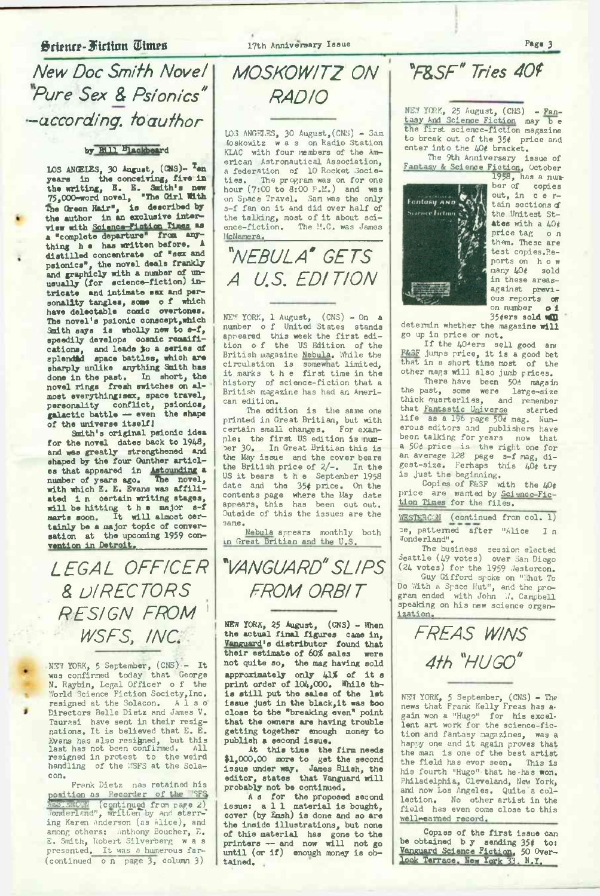# **fiction Times** 17th Anniversary Issue **Page 3**

*New Doc Smith Novel Pure Sex & Psionics" -according, toauthor*

# **by Bill blackboar<sup>d</sup>**

**LOS ANGELES, 30 August, (CNS)- T«n years in the conceiving, five in the writing, E. E. Smith's new** 75,000-word novel, "The Girl With<br>The Green Hair", is described by<br>the author in an exclusive inter-<br>view with Science-Fiction Times as<br>a "complete departure" from any**thing h e has written before. A distilled concentrate of "sex and** psionics", the novel deals frankly<br>and graphicly with a number of un-<br>usually (for science-fiction) in**tricate and intimate sex and personality tangles, some <sup>o</sup> f which have delectable comic overtones. The novel's psionic conscept,which Smith says is wholly new to s-f, speedily develops cosmic remaifications, and leads >o a series of splendid space battles, which are sharply unlike anything Gnith has done in the past. In short, the novel rings fresh switches on al**most everything:sex, space travel,<br>personality conflict, psionics,<br>galactic battle — even the shape<br>of the universe itself!

**Smith's original psionic idea for the novel dates back to 1948, and was greatly strengthened and shaped by the four Gunther articles that appeared in Astounding a number of years ago. Thenovel, with which E. E. Evans was affili**ated in certain writing stages,<br>will be hitting the major s-f<br>marts soon. It will almost cer**tainly be a major topic of conversation at the upcoming 1959 convention in Detroit.\_\_\_\_\_\_\_\_\_\_\_\_**

*LEGAL- OFFICER & DIRECTORS ■ RESIGN FROM ' WSFS, INC.*

.<br>WET YORK, 5 September, (CNS) - It<br>was confirmed today that George N. Raybin, Legal Officer <sup>o</sup> f the '.World Science Fiction Society,Inc. resigned at the Solacon. Directors Belle Dietz and James V. Taurasi have sent in their resignations. It is believed that E. E. Evans has also resigned, but this last has not been confirmed. All resigned in protest to the weird handling of the '.'.'SFS at the Solacon.

Frank Dietz nas retained his position as Recorder of the 'SFS<br>*SBS: SRCON* (continued from page *2)*<br>Wonderland", written by and starr-' ing Karen Anderson (as Alice), and among others: Anthony Boucher, E. E. Smith, Robert Silverberg was presented. It was a humerous far-<br>(continued on page 3, column 3)

*MOSKOWITZ ON RADIO*

LOS ANGELES, <sup>30</sup> August,(CNS) - Sam foskowitz was on Radio Station KLAC with four members of the American Astronautical Association, a federation of 10 Rocket Socie-The program was on for one hour  $(7:00 \text{ to } 8:00 \text{ P.M.})$  and was on Space Travel. Sam was the only s-f fan on it and did over half of the talking, most of it about sci-ence-fiction. The H.C. was James JfcNamera.\_\_\_\_\_\_\_\_\_\_\_\_\_\_\_\_\_\_\_\_\_\_

*"NEBULA' gets A U.S. EDITION*

NEW YORK, 1 August, (CNS) - On <sup>a</sup> number <sup>o</sup> f United States stands appeared this week the first edi-tion <sup>o</sup> f the US Edition of the British magazine Nebula. While the circulation is somewhat limited, it marks the first time in the history of science-fiction that a British magazine has had an American edition.

The edition is the same one printed in Great Britian, but with certain small changes. ple: the first US edition is num-<br>ber 30. In Great Britian this is In Great Britian this is the May issue and the cover bears the British price of 2/-. In the US it bears the September 1958 date and the 35# price. On the contents page where the May date appears, this has been cut out. Outside of this the issues are the same.

Nebula appears monthly both in Great Britian and the U.S.

*VANGUARD"SLIPS FROM ORBIT*

**NEW YORK, <sup>25</sup> August, (CNS) - When the actual final figures came in, Vanguard1s distributor found that their estimate of 60% sales were not quite so, the mag having sold approximately only 41% of it <sup>s</sup> print order of 104,000. While this still put the sales of the 1st issue just in the black,it was too close to the "breaking even" point that the owners are having trouble getting together enough money to publish a second issue.**

**At this time the firm needs \$1,000.00 more to get the second issue under way. James Blish, the editor, states that Vanguard will probably not be continued.**

As for the proposed second<br>issue: a 1 1 material is bought,<br>cover (by Emsh) is done and so are **the inside illustrations, but none of this material has gone to the printers — and now will not go until (or if) enough money is obtained.**

*"F&SF" Tries 40f*

NEW YORK, 25 August, (CNS) - Fan-<br>tasy And Science Fiction may be<br>the first science-fiction magazine to break out of the 35# price and enter into the 40¢ bracket.

The 9th Anniversary issue of Fantasy & Science Fiction, October 1958, has a num-



ber of copies out, in c e rtain sections **<f** the Unitest St**ates** with a 40# price tag o <sup>n</sup> them. These are test copies.Reports on how many 40¢ sold in these areasagainst previous reports of on number 35#ers sold WXL

detemin whether the magazine **will** go up in price or not.

If the 40\*ers sell good and F&SF jumps price, it is a good bet<br>that in a short time most of the other mags will also jumb prices.

There have been 50\* magsin<br>the past, some were large-size thick quarterlies, and remember that Fantastic Universe started<br>life as a 196 page 500 mag. Numerous editors and publishers have been talking for years a 50¢ price is the right one for an average 128 page s-f mag, di-<br>gest-size. Perhaps this 40t try is just the beginning.

Copies of F&SF with the LO& price are wanted by Science-Fic-<br>tion Times for the files.

WESTERCON (continued from col. 1) ce, patterned after "Alice I <sup>n</sup> Wonderland".

The business session elected Seattle (49 votes) over San Diego (24 votes) for the 1959 Jestercon. Guy Gifford spoke on "'.'hat To Do With A Space Hut", and the pro-<br>gram ended with John W. Campbell speaking on his new science organization;



NEV YORK, <sup>5</sup> September, (CNS) - The news that Frank Kelly Freas has again won a "Hugo" for his excellent art work for the science-fiction and fantasy magazines, was a happy one and it again proves that the man is one of the best artist the field has ever seen. This is his fourth "Hugo" that he-has won. Philadelphia, Cleveland, New York, and now Los Angeles. Quite a collection. No other artist in the field has even come close to this well-earned record.

**Copies of the first issue can be obtained b y sending 35# to: Vanguard Science Fiction, 50 Over-look Terrace, New York 33, N.Y,**